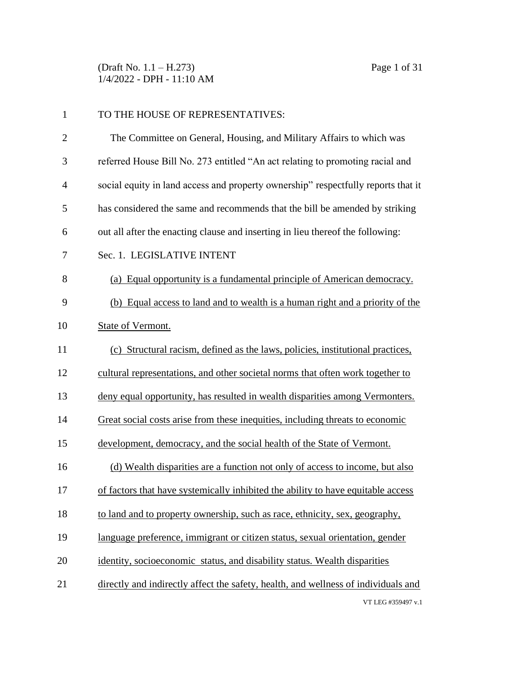(Draft No. 1.1 – H.273) Page 1 of 31 1/4/2022 - DPH - 11:10 AM

| $\mathbf{1}$   | TO THE HOUSE OF REPRESENTATIVES:                                                   |
|----------------|------------------------------------------------------------------------------------|
| $\overline{2}$ | The Committee on General, Housing, and Military Affairs to which was               |
| 3              | referred House Bill No. 273 entitled "An act relating to promoting racial and      |
| $\overline{4}$ | social equity in land access and property ownership" respectfully reports that it  |
| 5              | has considered the same and recommends that the bill be amended by striking        |
| 6              | out all after the enacting clause and inserting in lieu thereof the following:     |
| 7              | Sec. 1. LEGISLATIVE INTENT                                                         |
| 8              | (a) Equal opportunity is a fundamental principle of American democracy.            |
| 9              | (b) Equal access to land and to wealth is a human right and a priority of the      |
| 10             | State of Vermont.                                                                  |
| 11             | (c) Structural racism, defined as the laws, policies, institutional practices,     |
| 12             | cultural representations, and other societal norms that often work together to     |
| 13             | deny equal opportunity, has resulted in wealth disparities among Vermonters.       |
| 14             | Great social costs arise from these inequities, including threats to economic      |
| 15             | development, democracy, and the social health of the State of Vermont.             |
| 16             | (d) Wealth disparities are a function not only of access to income, but also       |
| 17             | of factors that have systemically inhibited the ability to have equitable access   |
| 18             | to land and to property ownership, such as race, ethnicity, sex, geography,        |
| 19             | language preference, immigrant or citizen status, sexual orientation, gender       |
| 20             | identity, socioeconomic status, and disability status. Wealth disparities          |
| 21             | directly and indirectly affect the safety, health, and wellness of individuals and |
|                | VT LEG #359497 v.1                                                                 |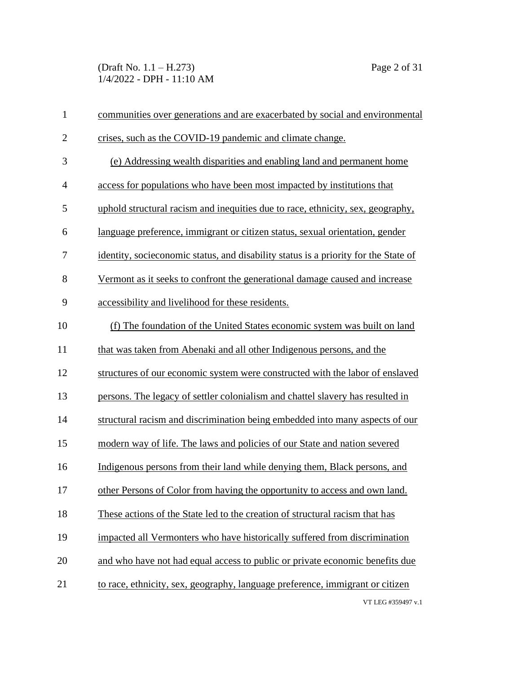(Draft No. 1.1 – H.273) Page 2 of 31 1/4/2022 - DPH - 11:10 AM

| $\mathbf{1}$   | communities over generations and are exacerbated by social and environmental        |
|----------------|-------------------------------------------------------------------------------------|
| $\overline{2}$ | crises, such as the COVID-19 pandemic and climate change.                           |
| 3              | (e) Addressing wealth disparities and enabling land and permanent home              |
| $\overline{4}$ | access for populations who have been most impacted by institutions that             |
| 5              | uphold structural racism and inequities due to race, ethnicity, sex, geography,     |
| 6              | language preference, immigrant or citizen status, sexual orientation, gender        |
| 7              | identity, socieconomic status, and disability status is a priority for the State of |
| 8              | Vermont as it seeks to confront the generational damage caused and increase         |
| 9              | accessibility and livelihood for these residents.                                   |
| 10             | (f) The foundation of the United States economic system was built on land           |
| 11             | that was taken from Abenaki and all other Indigenous persons, and the               |
| 12             | structures of our economic system were constructed with the labor of enslaved       |
| 13             | persons. The legacy of settler colonialism and chattel slavery has resulted in      |
| 14             | structural racism and discrimination being embedded into many aspects of our        |
| 15             | modern way of life. The laws and policies of our State and nation severed           |
| 16             | Indigenous persons from their land while denying them, Black persons, and           |
| 17             | other Persons of Color from having the opportunity to access and own land.          |
| 18             | These actions of the State led to the creation of structural racism that has        |
| 19             | impacted all Vermonters who have historically suffered from discrimination          |
| 20             | and who have not had equal access to public or private economic benefits due        |
| 21             | to race, ethnicity, sex, geography, language preference, immigrant or citizen       |
|                | VT LEG #359497 v.1                                                                  |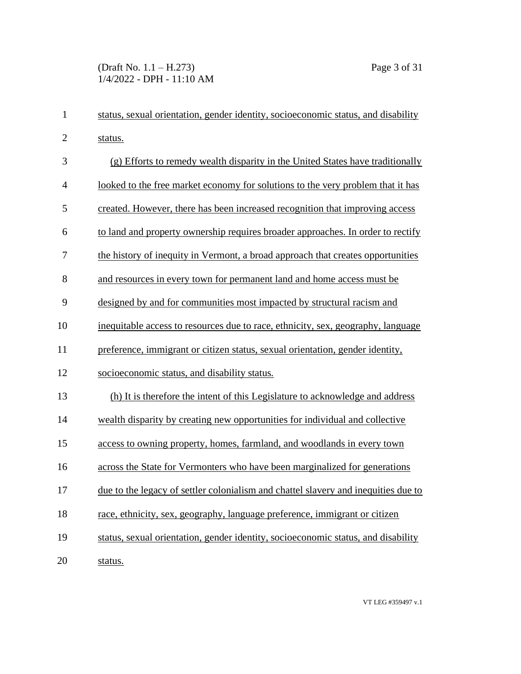| $\mathbf{1}$   | status, sexual orientation, gender identity, socioeconomic status, and disability  |
|----------------|------------------------------------------------------------------------------------|
| $\overline{2}$ | status.                                                                            |
| 3              | (g) Efforts to remedy wealth disparity in the United States have traditionally     |
| $\overline{4}$ | looked to the free market economy for solutions to the very problem that it has    |
| 5              | created. However, there has been increased recognition that improving access       |
| 6              | to land and property ownership requires broader approaches. In order to rectify    |
| 7              | the history of inequity in Vermont, a broad approach that creates opportunities    |
| 8              | and resources in every town for permanent land and home access must be             |
| 9              | designed by and for communities most impacted by structural racism and             |
| 10             | inequitable access to resources due to race, ethnicity, sex, geography, language   |
| 11             | preference, immigrant or citizen status, sexual orientation, gender identity,      |
| 12             | socioeconomic status, and disability status.                                       |
| 13             | (h) It is therefore the intent of this Legislature to acknowledge and address      |
| 14             | wealth disparity by creating new opportunities for individual and collective       |
| 15             | access to owning property, homes, farmland, and woodlands in every town            |
| 16             | across the State for Vermonters who have been marginalized for generations         |
| 17             | due to the legacy of settler colonialism and chattel slavery and inequities due to |
| 18             | race, ethnicity, sex, geography, language preference, immigrant or citizen         |
| 19             | status, sexual orientation, gender identity, socioeconomic status, and disability  |
| 20             | status.                                                                            |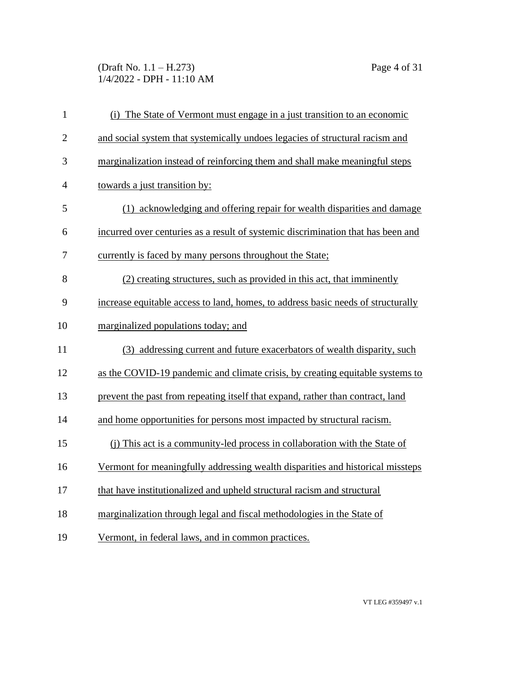(Draft No. 1.1 – H.273) Page 4 of 31 1/4/2022 - DPH - 11:10 AM

| $\mathbf{1}$   | (i) The State of Vermont must engage in a just transition to an economic         |
|----------------|----------------------------------------------------------------------------------|
| $\overline{2}$ | and social system that systemically undoes legacies of structural racism and     |
| 3              | marginalization instead of reinforcing them and shall make meaningful steps      |
| $\overline{4}$ | towards a just transition by:                                                    |
| 5              | (1) acknowledging and offering repair for wealth disparities and damage          |
| 6              | incurred over centuries as a result of systemic discrimination that has been and |
| 7              | currently is faced by many persons throughout the State;                         |
| 8              | (2) creating structures, such as provided in this act, that imminently           |
| 9              | increase equitable access to land, homes, to address basic needs of structurally |
| 10             | marginalized populations today; and                                              |
| 11             | (3) addressing current and future exacerbators of wealth disparity, such         |
| 12             | as the COVID-19 pandemic and climate crisis, by creating equitable systems to    |
| 13             | prevent the past from repeating itself that expand, rather than contract, land   |
| 14             | and home opportunities for persons most impacted by structural racism.           |
| 15             | (j) This act is a community-led process in collaboration with the State of       |
| 16             | Vermont for meaningfully addressing wealth disparities and historical missteps   |
| 17             | that have institutionalized and upheld structural racism and structural          |
| 18             | marginalization through legal and fiscal methodologies in the State of           |
| 19             | Vermont, in federal laws, and in common practices.                               |
|                |                                                                                  |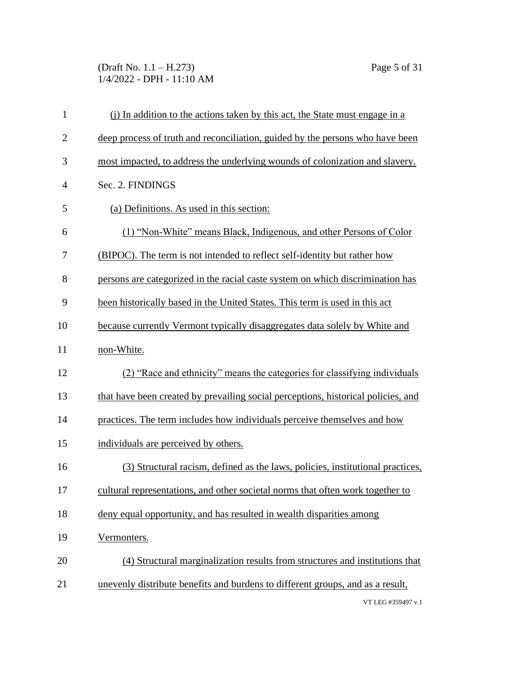(Draft No. 1.1 – H.273) Page 5 of 31 1/4/2022 - DPH - 11:10 AM

| $\mathbf{1}$   | (i) In addition to the actions taken by this act, the State must engage in a      |
|----------------|-----------------------------------------------------------------------------------|
| $\mathbf{2}$   | deep process of truth and reconciliation, guided by the persons who have been     |
| 3              | most impacted, to address the underlying wounds of colonization and slavery.      |
| $\overline{4}$ | Sec. 2. FINDINGS                                                                  |
| 5              | (a) Definitions. As used in this section:                                         |
| 6              | (1) "Non-White" means Black, Indigenous, and other Persons of Color               |
| 7              | (BIPOC). The term is not intended to reflect self-identity but rather how         |
| 8              | persons are categorized in the racial caste system on which discrimination has    |
| 9              | been historically based in the United States. This term is used in this act       |
| 10             | because currently Vermont typically disaggregates data solely by White and        |
| 11             | non-White.                                                                        |
| 12             | (2) "Race and ethnicity" means the categories for classifying individuals         |
| 13             | that have been created by prevailing social perceptions, historical policies, and |
| 14             | practices. The term includes how individuals perceive themselves and how          |
| 15             | individuals are perceived by others.                                              |
| 16             | (3) Structural racism, defined as the laws, policies, institutional practices,    |
| 17             | cultural representations, and other societal norms that often work together to    |
| 18             | deny equal opportunity, and has resulted in wealth disparities among              |
| 19             | Vermonters.                                                                       |
| 20             | (4) Structural marginalization results from structures and institutions that      |
| 21             | unevenly distribute benefits and burdens to different groups, and as a result,    |
|                | VT LEG #359497 v.1                                                                |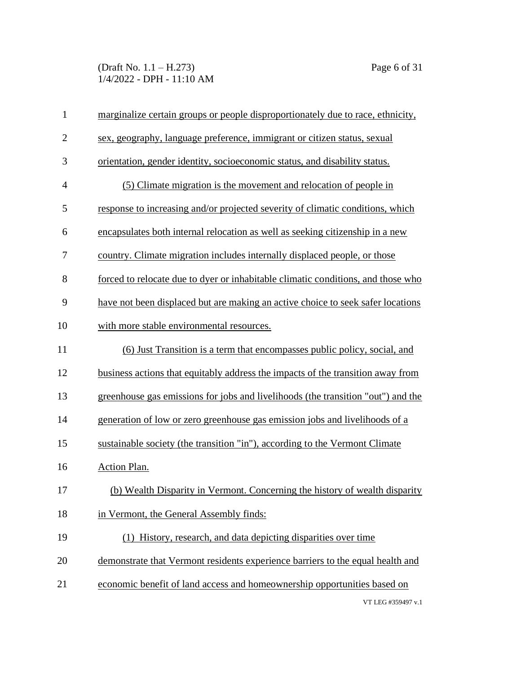(Draft No. 1.1 – H.273) Page 6 of 31 1/4/2022 - DPH - 11:10 AM

| $\mathbf{1}$   | marginalize certain groups or people disproportionately due to race, ethnicity,  |
|----------------|----------------------------------------------------------------------------------|
| $\overline{2}$ | sex, geography, language preference, immigrant or citizen status, sexual         |
| 3              | orientation, gender identity, socioeconomic status, and disability status.       |
| $\overline{4}$ | (5) Climate migration is the movement and relocation of people in                |
| 5              | response to increasing and/or projected severity of climatic conditions, which   |
| 6              | encapsulates both internal relocation as well as seeking citizenship in a new    |
| 7              | country. Climate migration includes internally displaced people, or those        |
| 8              | forced to relocate due to dyer or inhabitable climatic conditions, and those who |
| 9              | have not been displaced but are making an active choice to seek safer locations  |
| 10             | with more stable environmental resources.                                        |
| 11             | (6) Just Transition is a term that encompasses public policy, social, and        |
| 12             | business actions that equitably address the impacts of the transition away from  |
| 13             | greenhouse gas emissions for jobs and livelihoods (the transition "out") and the |
| 14             | generation of low or zero greenhouse gas emission jobs and livelihoods of a      |
| 15             | sustainable society (the transition "in"), according to the Vermont Climate      |
| 16             | Action Plan.                                                                     |
| 17             | (b) Wealth Disparity in Vermont. Concerning the history of wealth disparity      |
| 18             | in Vermont, the General Assembly finds:                                          |
| 19             | (1) History, research, and data depicting disparities over time                  |
| 20             | demonstrate that Vermont residents experience barriers to the equal health and   |
| 21             | economic benefit of land access and homeownership opportunities based on         |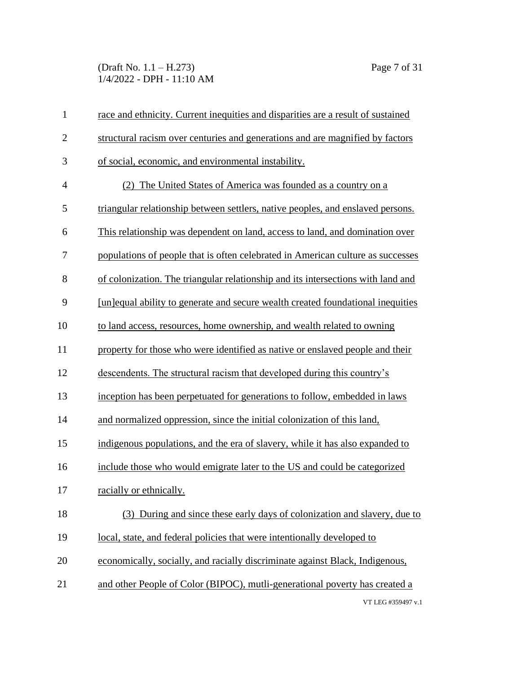(Draft No. 1.1 – H.273) Page 7 of 31 1/4/2022 - DPH - 11:10 AM

| $\mathbf{1}$   | race and ethnicity. Current inequities and disparities are a result of sustained |
|----------------|----------------------------------------------------------------------------------|
| $\mathbf{2}$   | structural racism over centuries and generations and are magnified by factors    |
| 3              | of social, economic, and environmental instability.                              |
| $\overline{4}$ | (2) The United States of America was founded as a country on a                   |
| 5              | triangular relationship between settlers, native peoples, and enslaved persons.  |
| 6              | This relationship was dependent on land, access to land, and domination over     |
| 7              | populations of people that is often celebrated in American culture as successes  |
| 8              | of colonization. The triangular relationship and its intersections with land and |
| 9              | [un] equal ability to generate and secure wealth created foundational inequities |
| 10             | to land access, resources, home ownership, and wealth related to owning          |
| 11             | property for those who were identified as native or enslaved people and their    |
| 12             | descendents. The structural racism that developed during this country's          |
| 13             | inception has been perpetuated for generations to follow, embedded in laws       |
| 14             | and normalized oppression, since the initial colonization of this land,          |
| 15             | indigenous populations, and the era of slavery, while it has also expanded to    |
| 16             | include those who would emigrate later to the US and could be categorized        |
| 17             | racially or ethnically.                                                          |
| 18             | (3) During and since these early days of colonization and slavery, due to        |
| 19             | local, state, and federal policies that were intentionally developed to          |
| 20             | economically, socially, and racially discriminate against Black, Indigenous,     |
| 21             | and other People of Color (BIPOC), mutli-generational poverty has created a      |
|                | VT LEG #359497 v.1                                                               |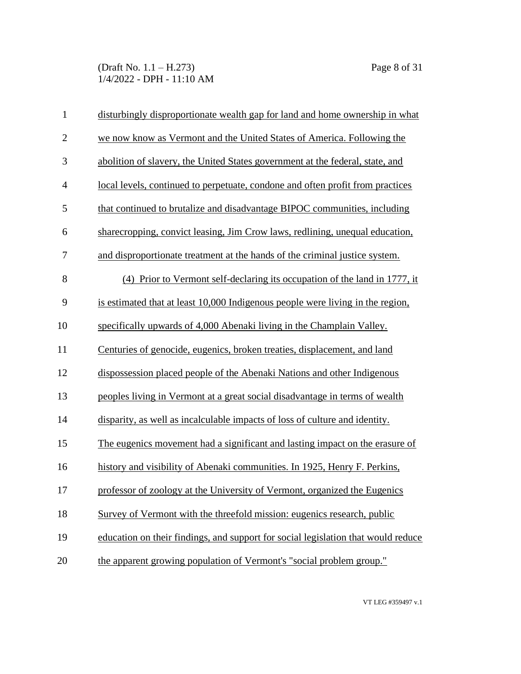(Draft No. 1.1 – H.273) Page 8 of 31 1/4/2022 - DPH - 11:10 AM

| $\mathbf{1}$   | disturbingly disproportionate wealth gap for land and home ownership in what      |
|----------------|-----------------------------------------------------------------------------------|
| $\mathbf{2}$   | we now know as Vermont and the United States of America. Following the            |
| 3              | abolition of slavery, the United States government at the federal, state, and     |
| $\overline{4}$ | local levels, continued to perpetuate, condone and often profit from practices    |
| 5              | that continued to brutalize and disadvantage BIPOC communities, including         |
| 6              | sharecropping, convict leasing, Jim Crow laws, redlining, unequal education,      |
| 7              | and disproportionate treatment at the hands of the criminal justice system.       |
| 8              | (4) Prior to Vermont self-declaring its occupation of the land in 1777, it        |
| 9              | is estimated that at least 10,000 Indigenous people were living in the region,    |
| 10             | specifically upwards of 4,000 Abenaki living in the Champlain Valley.             |
| 11             | Centuries of genocide, eugenics, broken treaties, displacement, and land          |
| 12             | dispossession placed people of the Abenaki Nations and other Indigenous           |
| 13             | peoples living in Vermont at a great social disadvantage in terms of wealth       |
| 14             | disparity, as well as incalculable impacts of loss of culture and identity.       |
| 15             | The eugenics movement had a significant and lasting impact on the erasure of      |
| 16             | history and visibility of Abenaki communities. In 1925, Henry F. Perkins,         |
| 17             | professor of zoology at the University of Vermont, organized the Eugenics         |
| 18             | Survey of Vermont with the threefold mission: eugenics research, public           |
| 19             | education on their findings, and support for social legislation that would reduce |
| 20             | the apparent growing population of Vermont's "social problem group."              |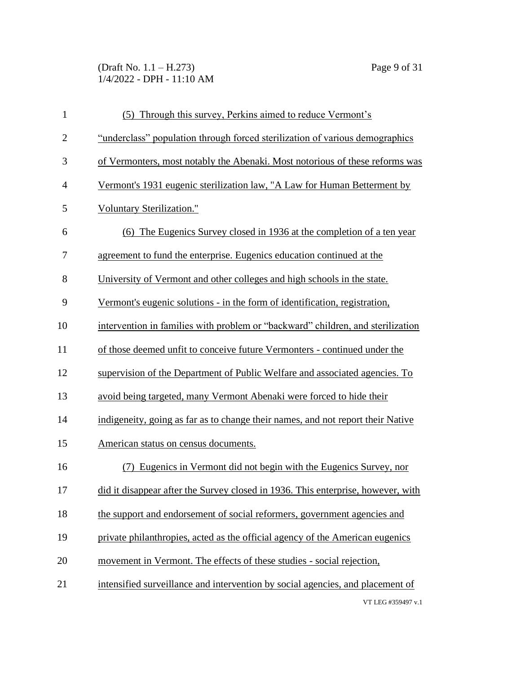(Draft No. 1.1 – H.273) Page 9 of 31 1/4/2022 - DPH - 11:10 AM

| $\mathbf{1}$   | (5) Through this survey, Perkins aimed to reduce Vermont's                       |
|----------------|----------------------------------------------------------------------------------|
| $\overline{2}$ | "underclass" population through forced sterilization of various demographics     |
| 3              | of Vermonters, most notably the Abenaki. Most notorious of these reforms was     |
| $\overline{4}$ | Vermont's 1931 eugenic sterilization law, "A Law for Human Betterment by         |
| 5              | Voluntary Sterilization."                                                        |
| 6              | The Eugenics Survey closed in 1936 at the completion of a ten year<br>(6)        |
| 7              | agreement to fund the enterprise. Eugenics education continued at the            |
| 8              | University of Vermont and other colleges and high schools in the state.          |
| 9              | Vermont's eugenic solutions - in the form of identification, registration,       |
| 10             | intervention in families with problem or "backward" children, and sterilization  |
| 11             | of those deemed unfit to conceive future Vermonters - continued under the        |
| 12             | supervision of the Department of Public Welfare and associated agencies. To      |
| 13             | avoid being targeted, many Vermont Abenaki were forced to hide their             |
| 14             | indigeneity, going as far as to change their names, and not report their Native  |
| 15             | American status on census documents.                                             |
| 16             | Eugenics in Vermont did not begin with the Eugenics Survey, nor                  |
| 17             | did it disappear after the Survey closed in 1936. This enterprise, however, with |
| 18             | the support and endorsement of social reformers, government agencies and         |
| 19             | private philanthropies, acted as the official agency of the American eugenics    |
| 20             | movement in Vermont. The effects of these studies - social rejection,            |
| 21             | intensified surveillance and intervention by social agencies, and placement of   |
|                | VT LEG #359497 v.1                                                               |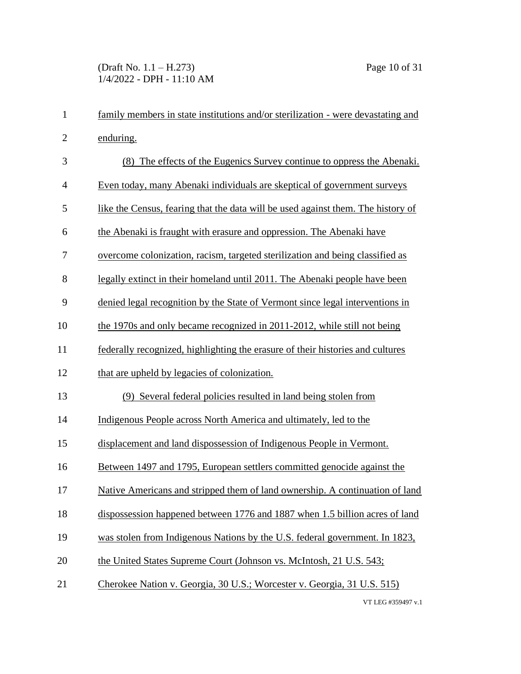| $\mathbf{1}$   | family members in state institutions and/or sterilization - were devastating and |
|----------------|----------------------------------------------------------------------------------|
| $\mathbf{2}$   | enduring.                                                                        |
| 3              | The effects of the Eugenics Survey continue to oppress the Abenaki.<br>(8)       |
| $\overline{4}$ | Even today, many Abenaki individuals are skeptical of government surveys         |
| 5              | like the Census, fearing that the data will be used against them. The history of |
| 6              | the Abenaki is fraught with erasure and oppression. The Abenaki have             |
| 7              | overcome colonization, racism, targeted sterilization and being classified as    |
| 8              | legally extinct in their homeland until 2011. The Abenaki people have been       |
| 9              | denied legal recognition by the State of Vermont since legal interventions in    |
| 10             | the 1970s and only became recognized in 2011-2012, while still not being         |
| 11             | federally recognized, highlighting the erasure of their histories and cultures   |
| 12             | that are upheld by legacies of colonization.                                     |
| 13             | (9) Several federal policies resulted in land being stolen from                  |
| 14             | Indigenous People across North America and ultimately, led to the                |
| 15             | displacement and land dispossession of Indigenous People in Vermont.             |
| 16             | Between 1497 and 1795, European settlers committed genocide against the          |
| 17             | Native Americans and stripped them of land ownership. A continuation of land     |
| 18             | dispossession happened between 1776 and 1887 when 1.5 billion acres of land      |
| 19             | was stolen from Indigenous Nations by the U.S. federal government. In 1823,      |
| 20             | the United States Supreme Court (Johnson vs. McIntosh, 21 U.S. 543;              |
| 21             | Cherokee Nation v. Georgia, 30 U.S.; Worcester v. Georgia, 31 U.S. 515)          |
|                | VT LEG #359497 v.1                                                               |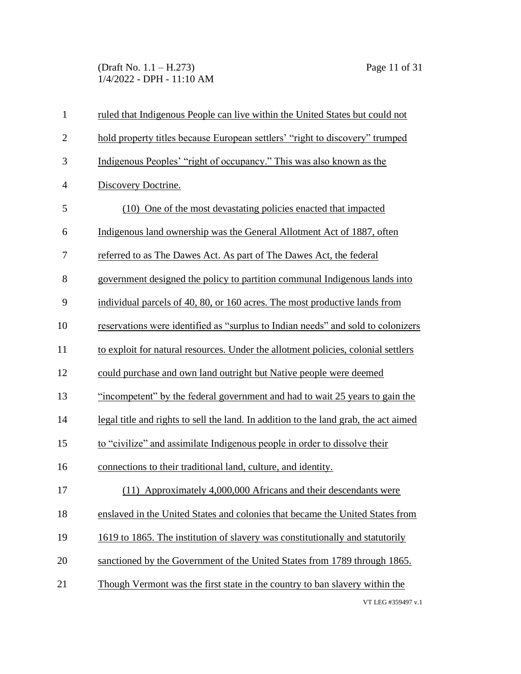(Draft No. 1.1 – H.273) Page 11 of 31 1/4/2022 - DPH - 11:10 AM

| $\mathbf{1}$   | ruled that Indigenous People can live within the United States but could not         |
|----------------|--------------------------------------------------------------------------------------|
| $\mathfrak{2}$ | hold property titles because European settlers' "right to discovery" trumped         |
| 3              | Indigenous Peoples' "right of occupancy." This was also known as the                 |
| $\overline{4}$ | Discovery Doctrine.                                                                  |
| 5              | (10) One of the most devastating policies enacted that impacted                      |
| 6              | Indigenous land ownership was the General Allotment Act of 1887, often               |
| 7              | referred to as The Dawes Act. As part of The Dawes Act, the federal                  |
| 8              | government designed the policy to partition communal Indigenous lands into           |
| 9              | individual parcels of 40, 80, or 160 acres. The most productive lands from           |
| 10             | reservations were identified as "surplus to Indian needs" and sold to colonizers     |
| 11             | to exploit for natural resources. Under the allotment policies, colonial settlers    |
| 12             | could purchase and own land outright but Native people were deemed                   |
| 13             | "incompetent" by the federal government and had to wait 25 years to gain the         |
| 14             | legal title and rights to sell the land. In addition to the land grab, the act aimed |
| 15             | to "civilize" and assimilate Indigenous people in order to dissolve their            |
| 16             | connections to their traditional land, culture, and identity.                        |
| 17             | (11) Approximately 4,000,000 Africans and their descendants were                     |
| 18             | enslaved in the United States and colonies that became the United States from        |
| 19             | 1619 to 1865. The institution of slavery was constitutionally and statutorily        |
| 20             | sanctioned by the Government of the United States from 1789 through 1865.            |
| 21             | Though Vermont was the first state in the country to ban slavery within the          |
|                | VT LEG #359497 v.1                                                                   |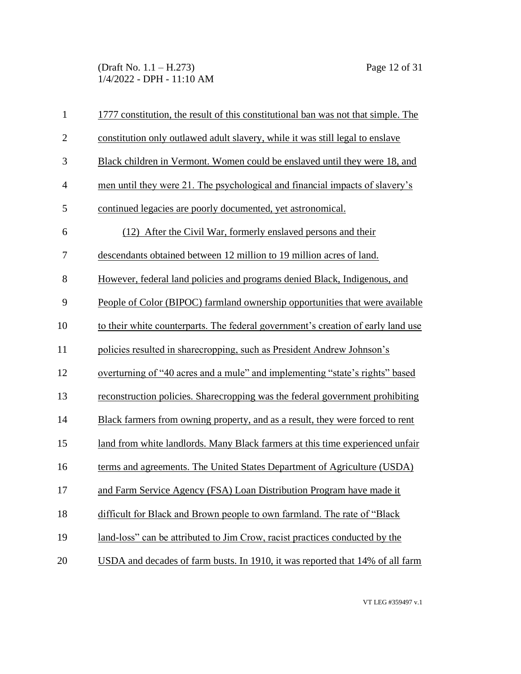(Draft No. 1.1 – H.273) Page 12 of 31 1/4/2022 - DPH - 11:10 AM

| $\mathbf{1}$   | 1777 constitution, the result of this constitutional ban was not that simple. The |
|----------------|-----------------------------------------------------------------------------------|
| $\overline{2}$ | constitution only outlawed adult slavery, while it was still legal to enslave     |
| 3              | Black children in Vermont. Women could be enslaved until they were 18, and        |
| $\overline{4}$ | men until they were 21. The psychological and financial impacts of slavery's      |
| 5              | continued legacies are poorly documented, yet astronomical.                       |
| 6              | (12) After the Civil War, formerly enslaved persons and their                     |
| 7              | descendants obtained between 12 million to 19 million acres of land.              |
| 8              | However, federal land policies and programs denied Black, Indigenous, and         |
| 9              | People of Color (BIPOC) farmland ownership opportunities that were available      |
| 10             | to their white counterparts. The federal government's creation of early land use  |
| 11             | policies resulted in sharecropping, such as President Andrew Johnson's            |
| 12             | overturning of "40 acres and a mule" and implementing "state's rights" based      |
| 13             | reconstruction policies. Sharecropping was the federal government prohibiting     |
| 14             | Black farmers from owning property, and as a result, they were forced to rent     |
| 15             | land from white landlords. Many Black farmers at this time experienced unfair     |
| 16             | terms and agreements. The United States Department of Agriculture (USDA)          |
| 17             | and Farm Service Agency (FSA) Loan Distribution Program have made it              |
| 18             | difficult for Black and Brown people to own farmland. The rate of "Black"         |
| 19             | land-loss" can be attributed to Jim Crow, racist practices conducted by the       |
| 20             | USDA and decades of farm busts. In 1910, it was reported that 14% of all farm     |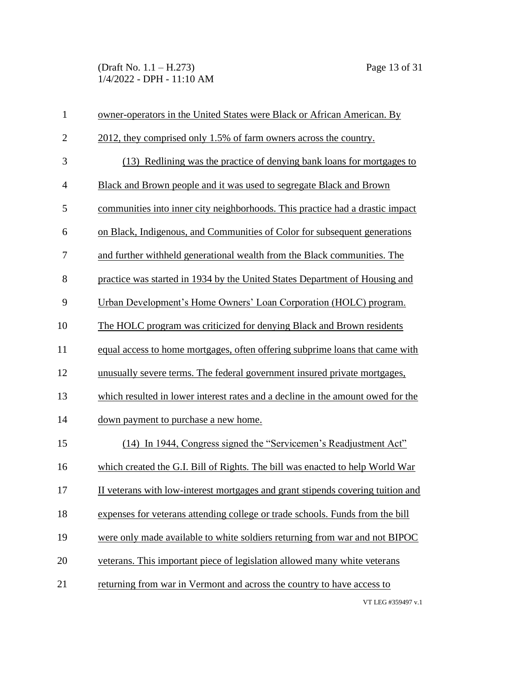(Draft No. 1.1 – H.273) Page 13 of 31 1/4/2022 - DPH - 11:10 AM

| $\mathbf{1}$   | owner-operators in the United States were Black or African American. By         |
|----------------|---------------------------------------------------------------------------------|
| $\overline{2}$ | 2012, they comprised only 1.5% of farm owners across the country.               |
| 3              | (13) Redlining was the practice of denying bank loans for mortgages to          |
| $\overline{4}$ | Black and Brown people and it was used to segregate Black and Brown             |
| 5              | communities into inner city neighborhoods. This practice had a drastic impact   |
| 6              | on Black, Indigenous, and Communities of Color for subsequent generations       |
| 7              | and further withheld generational wealth from the Black communities. The        |
| 8              | practice was started in 1934 by the United States Department of Housing and     |
| 9              | Urban Development's Home Owners' Loan Corporation (HOLC) program.               |
| 10             | The HOLC program was criticized for denying Black and Brown residents           |
| 11             | equal access to home mortgages, often offering subprime loans that came with    |
| 12             | unusually severe terms. The federal government insured private mortgages,       |
| 13             | which resulted in lower interest rates and a decline in the amount owed for the |
| 14             | down payment to purchase a new home.                                            |
| 15             | (14) In 1944, Congress signed the "Servicemen's Readjustment Act"               |
| 16             | which created the G.I. Bill of Rights. The bill was enacted to help World War   |
| 17             | II veterans with low-interest mortgages and grant stipends covering tuition and |
| 18             | expenses for veterans attending college or trade schools. Funds from the bill   |
| 19             | were only made available to white soldiers returning from war and not BIPOC     |
| 20             | veterans. This important piece of legislation allowed many white veterans       |
| 21             | returning from war in Vermont and across the country to have access to          |
|                |                                                                                 |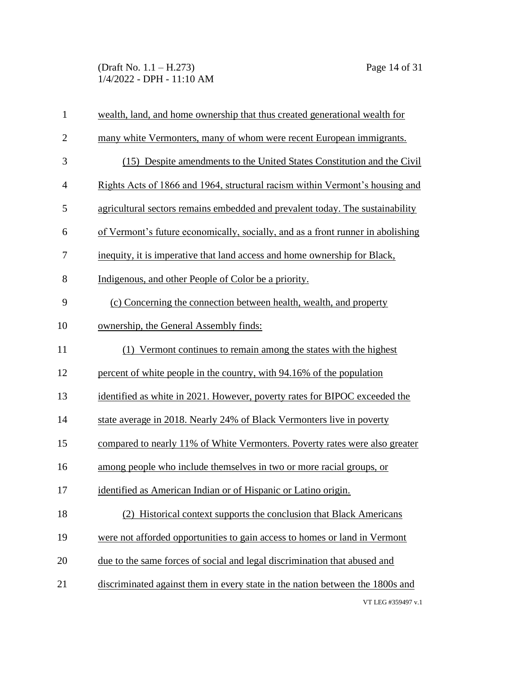(Draft No. 1.1 – H.273) Page 14 of 31 1/4/2022 - DPH - 11:10 AM

| $\mathbf{1}$   | wealth, land, and home ownership that thus created generational wealth for      |
|----------------|---------------------------------------------------------------------------------|
| $\overline{2}$ | many white Vermonters, many of whom were recent European immigrants.            |
| 3              | (15) Despite amendments to the United States Constitution and the Civil         |
| $\overline{4}$ | Rights Acts of 1866 and 1964, structural racism within Vermont's housing and    |
| 5              | agricultural sectors remains embedded and prevalent today. The sustainability   |
| 6              | of Vermont's future economically, socially, and as a front runner in abolishing |
| 7              | inequity, it is imperative that land access and home ownership for Black,       |
| 8              | Indigenous, and other People of Color be a priority.                            |
| 9              | (c) Concerning the connection between health, wealth, and property              |
| 10             | ownership, the General Assembly finds:                                          |
| 11             | (1) Vermont continues to remain among the states with the highest               |
| 12             | percent of white people in the country, with 94.16% of the population           |
| 13             | identified as white in 2021. However, poverty rates for BIPOC exceeded the      |
| 14             | state average in 2018. Nearly 24% of Black Vermonters live in poverty           |
| 15             | compared to nearly 11% of White Vermonters. Poverty rates were also greater     |
| 16             | among people who include themselves in two or more racial groups, or            |
| 17             | identified as American Indian or of Hispanic or Latino origin.                  |
| 18             | (2) Historical context supports the conclusion that Black Americans             |
| 19             | were not afforded opportunities to gain access to homes or land in Vermont      |
| 20             | due to the same forces of social and legal discrimination that abused and       |
| 21             | discriminated against them in every state in the nation between the 1800s and   |
|                | VT LEG #359497 v.1                                                              |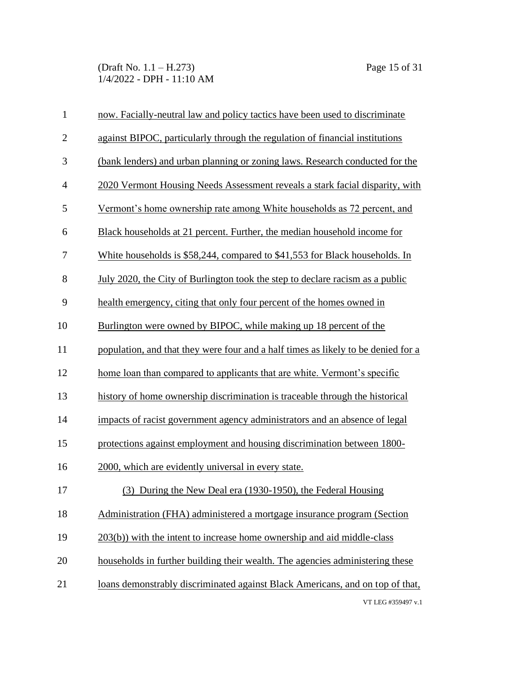(Draft No. 1.1 – H.273) Page 15 of 31 1/4/2022 - DPH - 11:10 AM

| $\mathbf{1}$   | now. Facially-neutral law and policy tactics have been used to discriminate       |
|----------------|-----------------------------------------------------------------------------------|
| $\mathbf{2}$   | against BIPOC, particularly through the regulation of financial institutions      |
| 3              | (bank lenders) and urban planning or zoning laws. Research conducted for the      |
| $\overline{4}$ | 2020 Vermont Housing Needs Assessment reveals a stark facial disparity, with      |
| 5              | Vermont's home ownership rate among White households as 72 percent, and           |
| 6              | Black households at 21 percent. Further, the median household income for          |
| 7              | White households is \$58,244, compared to \$41,553 for Black households. In       |
| 8              | July 2020, the City of Burlington took the step to declare racism as a public     |
| 9              | health emergency, citing that only four percent of the homes owned in             |
| 10             | Burlington were owned by BIPOC, while making up 18 percent of the                 |
| 11             | population, and that they were four and a half times as likely to be denied for a |
| 12             | home loan than compared to applicants that are white. Vermont's specific          |
| 13             | history of home ownership discrimination is traceable through the historical      |
| 14             | impacts of racist government agency administrators and an absence of legal        |
| 15             | protections against employment and housing discrimination between 1800-           |
| 16             | 2000, which are evidently universal in every state.                               |
| 17             | (3) During the New Deal era (1930-1950), the Federal Housing                      |
| 18             | Administration (FHA) administered a mortgage insurance program (Section           |
| 19             | $203(b)$ ) with the intent to increase home ownership and aid middle-class        |
| 20             | households in further building their wealth. The agencies administering these     |
| 21             | loans demonstrably discriminated against Black Americans, and on top of that,     |
|                | VT LEG #359497 v.1                                                                |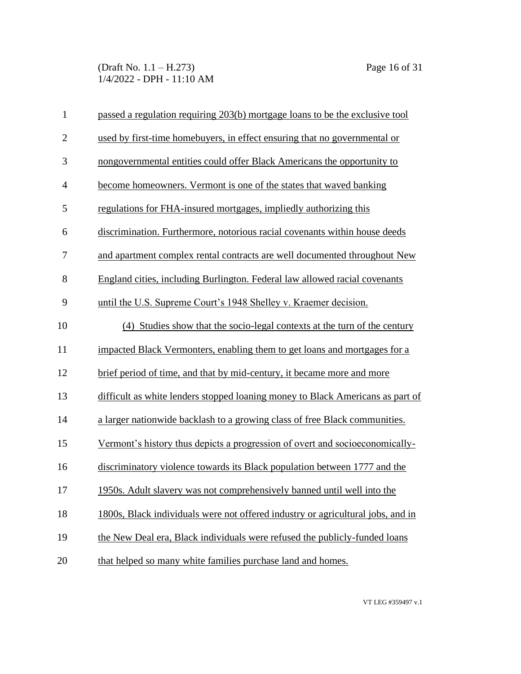(Draft No. 1.1 – H.273) Page 16 of 31 1/4/2022 - DPH - 11:10 AM

| $\mathbf{1}$     | passed a regulation requiring 203(b) mortgage loans to be the exclusive tool    |
|------------------|---------------------------------------------------------------------------------|
| $\overline{2}$   | used by first-time homebuyers, in effect ensuring that no governmental or       |
| $\mathfrak{Z}$   | nongovernmental entities could offer Black Americans the opportunity to         |
| $\overline{4}$   | become homeowners. Vermont is one of the states that waved banking              |
| 5                | regulations for FHA-insured mortgages, impliedly authorizing this               |
| 6                | discrimination. Furthermore, notorious racial covenants within house deeds      |
| $\boldsymbol{7}$ | and apartment complex rental contracts are well documented throughout New       |
| 8                | England cities, including Burlington. Federal law allowed racial covenants      |
| 9                | until the U.S. Supreme Court's 1948 Shelley v. Kraemer decision.                |
| 10               | (4) Studies show that the socio-legal contexts at the turn of the century       |
| 11               | impacted Black Vermonters, enabling them to get loans and mortgages for a       |
| 12               | brief period of time, and that by mid-century, it became more and more          |
| 13               | difficult as white lenders stopped loaning money to Black Americans as part of  |
| 14               | a larger nationwide backlash to a growing class of free Black communities.      |
| 15               | Vermont's history thus depicts a progression of overt and socioeconomically-    |
| 16               | discriminatory violence towards its Black population between 1777 and the       |
| 17               | 1950s. Adult slavery was not comprehensively banned until well into the         |
| 18               | 1800s, Black individuals were not offered industry or agricultural jobs, and in |
| 19               | the New Deal era, Black individuals were refused the publicly-funded loans      |
| 20               | that helped so many white families purchase land and homes.                     |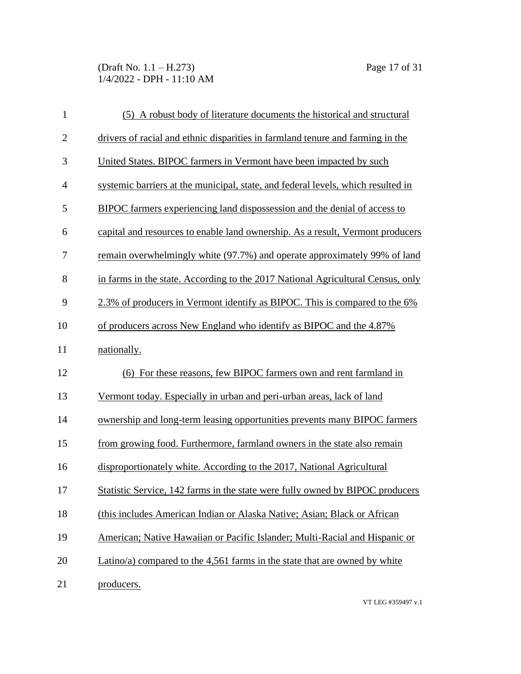(Draft No. 1.1 – H.273) Page 17 of 31 1/4/2022 - DPH - 11:10 AM

| $\mathbf{1}$   | (5) A robust body of literature documents the historical and structural          |
|----------------|----------------------------------------------------------------------------------|
| $\overline{2}$ | drivers of racial and ethnic disparities in farmland tenure and farming in the   |
| 3              | United States. BIPOC farmers in Vermont have been impacted by such               |
| $\overline{4}$ | systemic barriers at the municipal, state, and federal levels, which resulted in |
| 5              | BIPOC farmers experiencing land dispossession and the denial of access to        |
| 6              | capital and resources to enable land ownership. As a result, Vermont producers   |
| 7              | remain overwhelmingly white (97.7%) and operate approximately 99% of land        |
| 8              | in farms in the state. According to the 2017 National Agricultural Census, only  |
| 9              | 2.3% of producers in Vermont identify as BIPOC. This is compared to the 6%       |
| 10             | of producers across New England who identify as BIPOC and the 4.87%              |
| 11             | nationally.                                                                      |
| 12             | (6) For these reasons, few BIPOC farmers own and rent farmland in                |
| 13             | Vermont today. Especially in urban and peri-urban areas, lack of land            |
| 14             | ownership and long-term leasing opportunities prevents many BIPOC farmers        |
| 15             | from growing food. Furthermore, farmland owners in the state also remain         |
| 16             | disproportionately white. According to the 2017, National Agricultural           |
| 17             | Statistic Service, 142 farms in the state were fully owned by BIPOC producers    |
| 18             | (this includes American Indian or Alaska Native; Asian; Black or African         |
| 19             | American; Native Hawaiian or Pacific Islander; Multi-Racial and Hispanic or      |
| 20             | $Latino/a$ ) compared to the 4,561 farms in the state that are owned by white    |
| 21             | producers.                                                                       |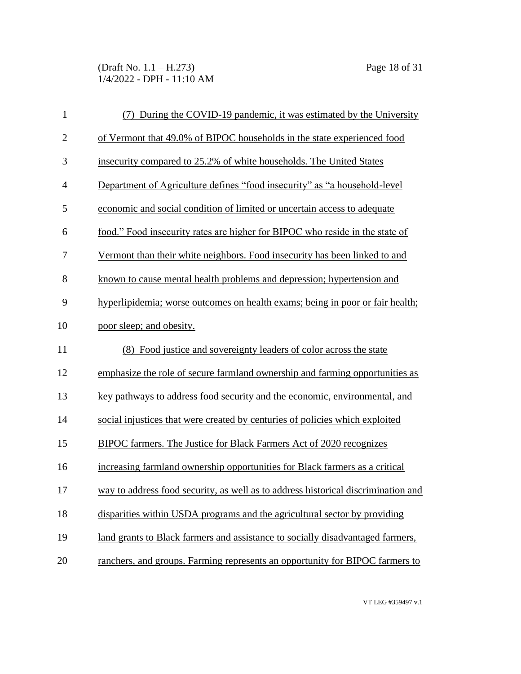(Draft No. 1.1 – H.273) Page 18 of 31 1/4/2022 - DPH - 11:10 AM

| $\mathbf{1}$   | During the COVID-19 pandemic, it was estimated by the University                  |
|----------------|-----------------------------------------------------------------------------------|
| $\overline{c}$ | of Vermont that 49.0% of BIPOC households in the state experienced food           |
| 3              | insecurity compared to 25.2% of white households. The United States               |
| $\overline{4}$ | Department of Agriculture defines "food insecurity" as "a household-level         |
| 5              | economic and social condition of limited or uncertain access to adequate          |
| 6              | food." Food insecurity rates are higher for BIPOC who reside in the state of      |
| 7              | Vermont than their white neighbors. Food insecurity has been linked to and        |
| 8              | known to cause mental health problems and depression; hypertension and            |
| 9              | hyperlipidemia; worse outcomes on health exams; being in poor or fair health;     |
| 10             | poor sleep; and obesity.                                                          |
| 11             | (8) Food justice and sovereignty leaders of color across the state                |
| 12             | emphasize the role of secure farmland ownership and farming opportunities as      |
| 13             | key pathways to address food security and the economic, environmental, and        |
| 14             | social injustices that were created by centuries of policies which exploited      |
| 15             | <b>BIPOC</b> farmers. The Justice for Black Farmers Act of 2020 recognizes        |
| 16             | increasing farmland ownership opportunities for Black farmers as a critical       |
| 17             | way to address food security, as well as to address historical discrimination and |
| 18             | disparities within USDA programs and the agricultural sector by providing         |
| 19             | land grants to Black farmers and assistance to socially disadvantaged farmers,    |
| 20             | ranchers, and groups. Farming represents an opportunity for BIPOC farmers to      |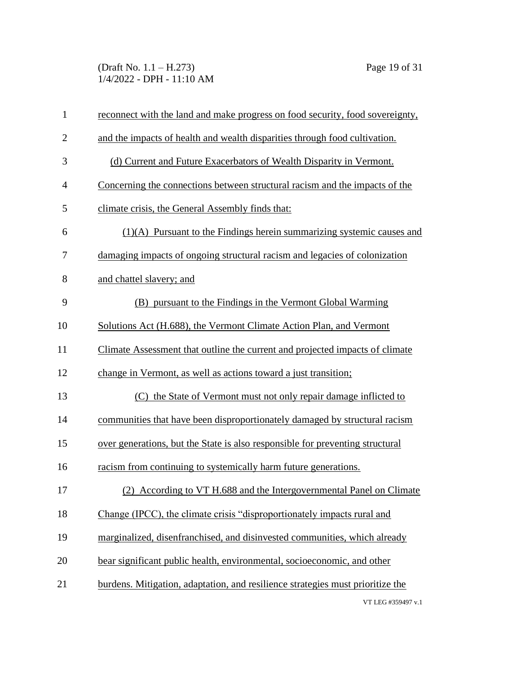(Draft No. 1.1 – H.273) Page 19 of 31 1/4/2022 - DPH - 11:10 AM

| $\mathbf{1}$   | reconnect with the land and make progress on food security, food sovereignty,  |
|----------------|--------------------------------------------------------------------------------|
| $\overline{2}$ | and the impacts of health and wealth disparities through food cultivation.     |
| 3              | (d) Current and Future Exacerbators of Wealth Disparity in Vermont.            |
| $\overline{4}$ | Concerning the connections between structural racism and the impacts of the    |
| 5              | climate crisis, the General Assembly finds that:                               |
| 6              | (1)(A) Pursuant to the Findings herein summarizing systemic causes and         |
| 7              | damaging impacts of ongoing structural racism and legacies of colonization     |
| 8              | and chattel slavery; and                                                       |
| 9              | (B) pursuant to the Findings in the Vermont Global Warming                     |
| 10             | Solutions Act (H.688), the Vermont Climate Action Plan, and Vermont            |
| 11             | Climate Assessment that outline the current and projected impacts of climate   |
| 12             | change in Vermont, as well as actions toward a just transition;                |
| 13             | (C) the State of Vermont must not only repair damage inflicted to              |
| 14             | communities that have been disproportionately damaged by structural racism     |
| 15             | over generations, but the State is also responsible for preventing structural  |
| 16             | racism from continuing to systemically harm future generations.                |
| 17             | (2) According to VT H.688 and the Intergovernmental Panel on Climate           |
| 18             | Change (IPCC), the climate crisis "disproportionately impacts rural and        |
| 19             | marginalized, disenfranchised, and disinvested communities, which already      |
| 20             | bear significant public health, environmental, socioeconomic, and other        |
| 21             | burdens. Mitigation, adaptation, and resilience strategies must prioritize the |
|                | VT LEG #359497 v.1                                                             |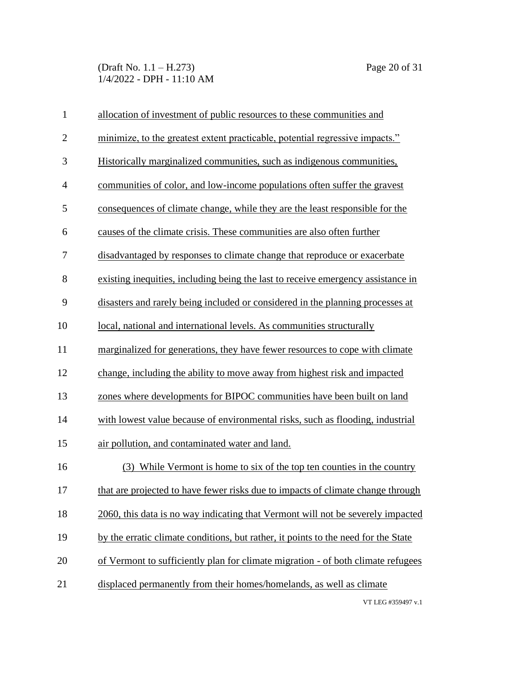(Draft No. 1.1 – H.273) Page 20 of 31 1/4/2022 - DPH - 11:10 AM

| $\mathbf{1}$   | allocation of investment of public resources to these communities and              |
|----------------|------------------------------------------------------------------------------------|
| $\overline{2}$ | minimize, to the greatest extent practicable, potential regressive impacts."       |
| 3              | Historically marginalized communities, such as indigenous communities,             |
| $\overline{4}$ | communities of color, and low-income populations often suffer the gravest          |
| 5              | consequences of climate change, while they are the least responsible for the       |
| 6              | causes of the climate crisis. These communities are also often further             |
| 7              | disadvantaged by responses to climate change that reproduce or exacerbate          |
| 8              | existing inequities, including being the last to receive emergency assistance in   |
| 9              | disasters and rarely being included or considered in the planning processes at     |
| 10             | local, national and international levels. As communities structurally              |
| 11             | marginalized for generations, they have fewer resources to cope with climate       |
| 12             | change, including the ability to move away from highest risk and impacted          |
| 13             | zones where developments for BIPOC communities have been built on land             |
| 14             | with lowest value because of environmental risks, such as flooding, industrial     |
| 15             | air pollution, and contaminated water and land.                                    |
| 16             | (3) While Vermont is home to six of the top ten counties in the country            |
| 17             | that are projected to have fewer risks due to impacts of climate change through    |
| 18             | 2060, this data is no way indicating that Vermont will not be severely impacted    |
| 19             | by the erratic climate conditions, but rather, it points to the need for the State |
| 20             | of Vermont to sufficiently plan for climate migration - of both climate refugees   |
| 21             | displaced permanently from their homes/homelands, as well as climate               |
|                | VT LEG #359497 v.1                                                                 |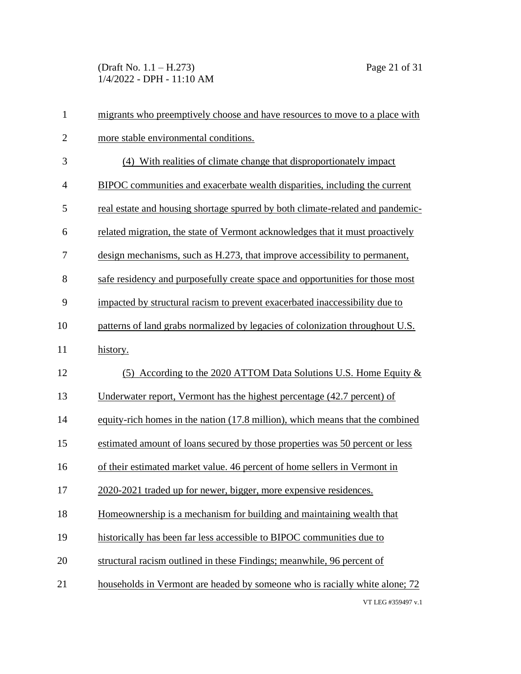(Draft No. 1.1 – H.273) Page 21 of 31 1/4/2022 - DPH - 11:10 AM

| $\mathbf{1}$   | migrants who preemptively choose and have resources to move to a place with    |
|----------------|--------------------------------------------------------------------------------|
| $\overline{2}$ | more stable environmental conditions.                                          |
| 3              | (4) With realities of climate change that disproportionately impact            |
| $\overline{4}$ | BIPOC communities and exacerbate wealth disparities, including the current     |
| 5              | real estate and housing shortage spurred by both climate-related and pandemic- |
| 6              | related migration, the state of Vermont acknowledges that it must proactively  |
| 7              | design mechanisms, such as H.273, that improve accessibility to permanent,     |
| 8              | safe residency and purposefully create space and opportunities for those most  |
| 9              | impacted by structural racism to prevent exacerbated inaccessibility due to    |
| 10             | patterns of land grabs normalized by legacies of colonization throughout U.S.  |
| 11             | history.                                                                       |
| 12             | According to the 2020 ATTOM Data Solutions U.S. Home Equity &<br>(5)           |
| 13             | Underwater report, Vermont has the highest percentage (42.7 percent) of        |
| 14             | equity-rich homes in the nation (17.8 million), which means that the combined  |
| 15             | estimated amount of loans secured by those properties was 50 percent or less   |
| 16             | of their estimated market value. 46 percent of home sellers in Vermont in      |
| 17             | 2020-2021 traded up for newer, bigger, more expensive residences.              |
| 18             | Homeownership is a mechanism for building and maintaining wealth that          |
| 19             | historically has been far less accessible to BIPOC communities due to          |
| 20             | structural racism outlined in these Findings; meanwhile, 96 percent of         |
| 21             | households in Vermont are headed by someone who is racially white alone; 72    |
|                | VT LEG #359497 v.1                                                             |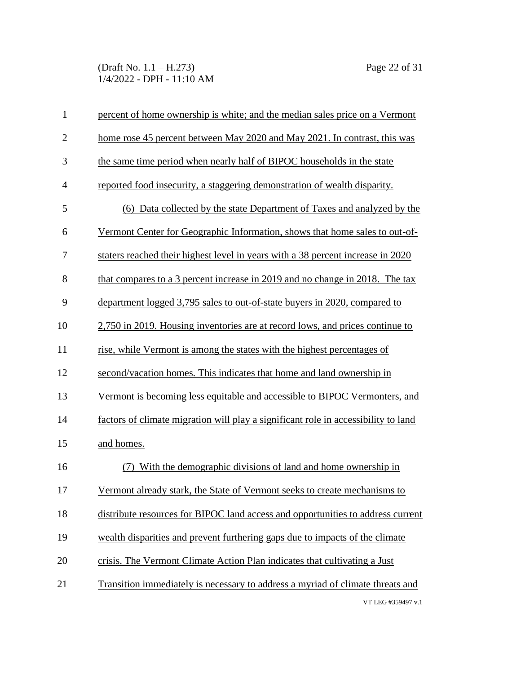(Draft No. 1.1 – H.273) Page 22 of 31 1/4/2022 - DPH - 11:10 AM

| $\mathbf{1}$   | percent of home ownership is white; and the median sales price on a Vermont        |
|----------------|------------------------------------------------------------------------------------|
| $\overline{2}$ | home rose 45 percent between May 2020 and May 2021. In contrast, this was          |
| $\mathfrak{Z}$ | the same time period when nearly half of BIPOC households in the state             |
| $\overline{4}$ | reported food insecurity, a staggering demonstration of wealth disparity.          |
| 5              | (6) Data collected by the state Department of Taxes and analyzed by the            |
| 6              | Vermont Center for Geographic Information, shows that home sales to out-of-        |
| 7              | staters reached their highest level in years with a 38 percent increase in 2020    |
| 8              | that compares to a 3 percent increase in 2019 and no change in 2018. The tax       |
| 9              | department logged 3,795 sales to out-of-state buyers in 2020, compared to          |
| 10             | 2,750 in 2019. Housing inventories are at record lows, and prices continue to      |
| 11             | rise, while Vermont is among the states with the highest percentages of            |
| 12             | second/vacation homes. This indicates that home and land ownership in              |
| 13             | Vermont is becoming less equitable and accessible to BIPOC Vermonters, and         |
| 14             | factors of climate migration will play a significant role in accessibility to land |
| 15             | and homes.                                                                         |
| 16             | With the demographic divisions of land and home ownership in<br>(7)                |
| 17             | Vermont already stark, the State of Vermont seeks to create mechanisms to          |
| 18             | distribute resources for BIPOC land access and opportunities to address current    |
| 19             | wealth disparities and prevent furthering gaps due to impacts of the climate       |
| 20             | crisis. The Vermont Climate Action Plan indicates that cultivating a Just          |
| 21             | Transition immediately is necessary to address a myriad of climate threats and     |
|                | VT LEG #359497 v.1                                                                 |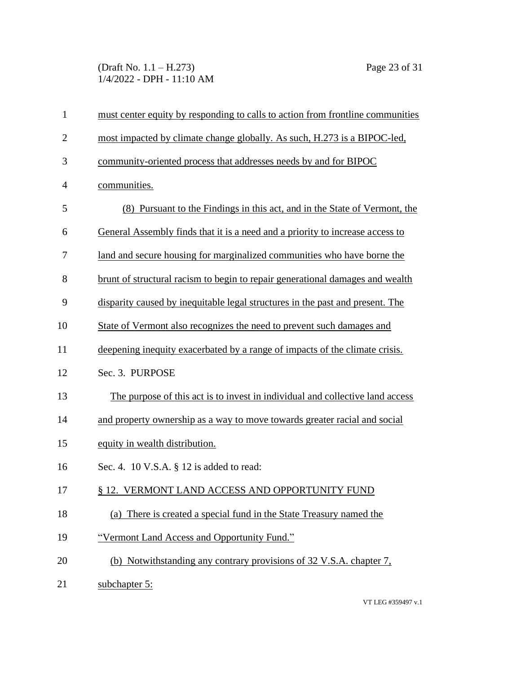(Draft No. 1.1 – H.273) Page 23 of 31 1/4/2022 - DPH - 11:10 AM

| $\mathbf{1}$   | must center equity by responding to calls to action from frontline communities |
|----------------|--------------------------------------------------------------------------------|
| $\mathbf{2}$   | most impacted by climate change globally. As such, H.273 is a BIPOC-led,       |
| 3              | community-oriented process that addresses needs by and for BIPOC               |
| $\overline{4}$ | communities.                                                                   |
| 5              | (8) Pursuant to the Findings in this act, and in the State of Vermont, the     |
| 6              | General Assembly finds that it is a need and a priority to increase access to  |
| 7              | land and secure housing for marginalized communities who have borne the        |
| 8              | brunt of structural racism to begin to repair generational damages and wealth  |
| 9              | disparity caused by inequitable legal structures in the past and present. The  |
| 10             | State of Vermont also recognizes the need to prevent such damages and          |
| 11             | deepening inequity exacerbated by a range of impacts of the climate crisis.    |
| 12             | Sec. 3. PURPOSE                                                                |
| 13             | The purpose of this act is to invest in individual and collective land access  |
| 14             | and property ownership as a way to move towards greater racial and social      |
| 15             | equity in wealth distribution.                                                 |
| 16             | Sec. 4. 10 V.S.A. § 12 is added to read:                                       |
| 17             | § 12. VERMONT LAND ACCESS AND OPPORTUNITY FUND                                 |
| 18             | (a) There is created a special fund in the State Treasury named the            |
| 19             | "Vermont Land Access and Opportunity Fund."                                    |
| 20             | (b) Notwithstanding any contrary provisions of 32 V.S.A. chapter 7,            |
| 21             | subchapter 5:                                                                  |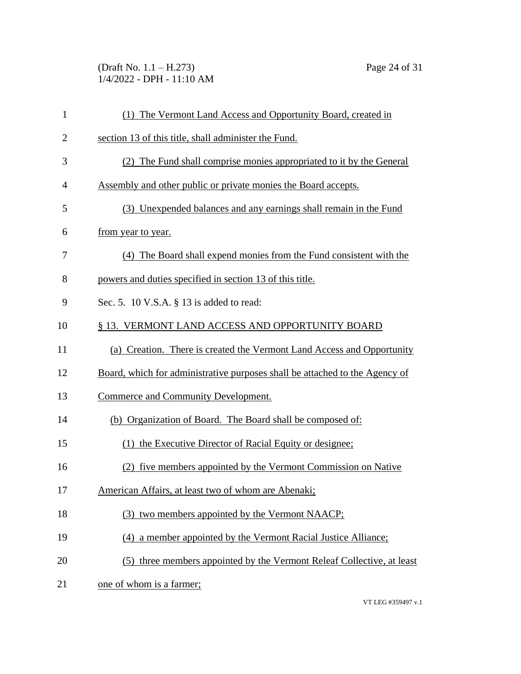(Draft No. 1.1 – H.273) Page 24 of 31 1/4/2022 - DPH - 11:10 AM

| $\mathbf{1}$   | (1) The Vermont Land Access and Opportunity Board, created in               |
|----------------|-----------------------------------------------------------------------------|
| $\overline{c}$ | section 13 of this title, shall administer the Fund.                        |
| 3              | (2) The Fund shall comprise monies appropriated to it by the General        |
| 4              | Assembly and other public or private monies the Board accepts.              |
| 5              | (3) Unexpended balances and any earnings shall remain in the Fund           |
| 6              | from year to year.                                                          |
| 7              | (4) The Board shall expend monies from the Fund consistent with the         |
| 8              | powers and duties specified in section 13 of this title.                    |
| 9              | Sec. 5. 10 V.S.A. § 13 is added to read:                                    |
| 10             | § 13. VERMONT LAND ACCESS AND OPPORTUNITY BOARD                             |
| 11             | (a) Creation. There is created the Vermont Land Access and Opportunity      |
| 12             | Board, which for administrative purposes shall be attached to the Agency of |
| 13             | Commerce and Community Development.                                         |
| 14             | (b) Organization of Board. The Board shall be composed of:                  |
| 15             | (1) the Executive Director of Racial Equity or designee;                    |
| 16             | five members appointed by the Vermont Commission on Native<br>(2)           |
| 17             | American Affairs, at least two of whom are Abenaki;                         |
| 18             | (3) two members appointed by the Vermont NAACP;                             |
| 19             | (4) a member appointed by the Vermont Racial Justice Alliance;              |
| 20             | (5) three members appointed by the Vermont Releaf Collective, at least      |
| 21             | one of whom is a farmer;                                                    |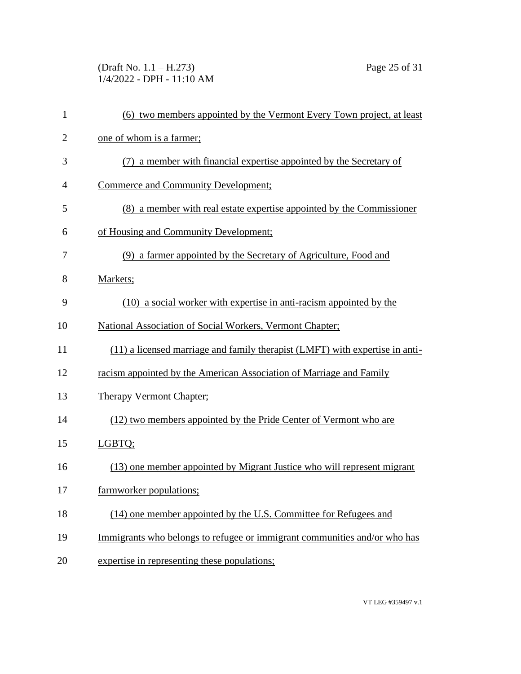(Draft No. 1.1 – H.273) Page 25 of 31 1/4/2022 - DPH - 11:10 AM

| $\mathbf{1}$   | (6) two members appointed by the Vermont Every Town project, at least        |  |  |  |
|----------------|------------------------------------------------------------------------------|--|--|--|
| $\overline{2}$ | one of whom is a farmer;                                                     |  |  |  |
| 3              | (7) a member with financial expertise appointed by the Secretary of          |  |  |  |
| 4              | Commerce and Community Development;                                          |  |  |  |
| 5              | (8) a member with real estate expertise appointed by the Commissioner        |  |  |  |
| 6              | of Housing and Community Development;                                        |  |  |  |
| 7              | (9) a farmer appointed by the Secretary of Agriculture, Food and             |  |  |  |
| 8              | Markets;                                                                     |  |  |  |
| 9              | (10) a social worker with expertise in anti-racism appointed by the          |  |  |  |
| 10             | National Association of Social Workers, Vermont Chapter;                     |  |  |  |
| 11             | (11) a licensed marriage and family therapist (LMFT) with expertise in anti- |  |  |  |
| 12             | racism appointed by the American Association of Marriage and Family          |  |  |  |
| 13             | <b>Therapy Vermont Chapter;</b>                                              |  |  |  |
| 14             | (12) two members appointed by the Pride Center of Vermont who are            |  |  |  |
| 15             | LGBTQ;                                                                       |  |  |  |
| 16             | (13) one member appointed by Migrant Justice who will represent migrant      |  |  |  |
| 17             | farmworker populations;                                                      |  |  |  |
| 18             | (14) one member appointed by the U.S. Committee for Refugees and             |  |  |  |
| 19             | Immigrants who belongs to refugee or immigrant communities and/or who has    |  |  |  |
| 20             | expertise in representing these populations;                                 |  |  |  |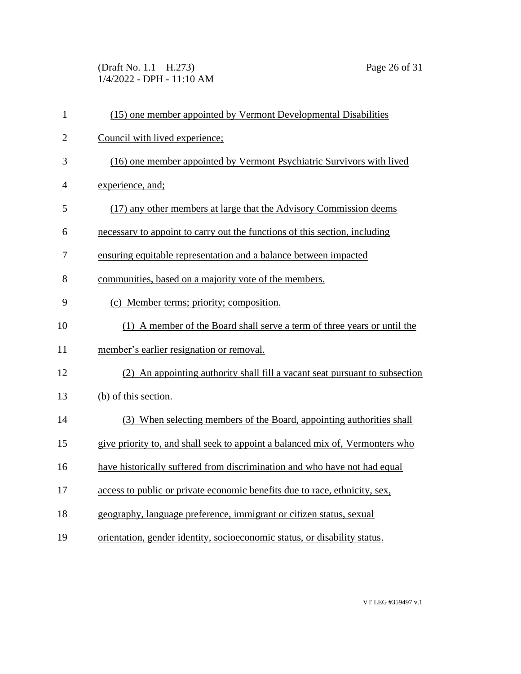(Draft No. 1.1 – H.273) Page 26 of 31 1/4/2022 - DPH - 11:10 AM

| $\mathbf{1}$   | (15) one member appointed by Vermont Developmental Disabilities               |  |  |
|----------------|-------------------------------------------------------------------------------|--|--|
| $\overline{2}$ | Council with lived experience;                                                |  |  |
| 3              | (16) one member appointed by Vermont Psychiatric Survivors with lived         |  |  |
| $\overline{4}$ | experience, and;                                                              |  |  |
| 5              | (17) any other members at large that the Advisory Commission deems            |  |  |
| 6              | necessary to appoint to carry out the functions of this section, including    |  |  |
| $\overline{7}$ | ensuring equitable representation and a balance between impacted              |  |  |
| 8              | communities, based on a majority vote of the members.                         |  |  |
| 9              | (c) Member terms; priority; composition.                                      |  |  |
| 10             | (1) A member of the Board shall serve a term of three years or until the      |  |  |
| 11             | member's earlier resignation or removal.                                      |  |  |
| 12             | (2) An appointing authority shall fill a vacant seat pursuant to subsection   |  |  |
| 13             | (b) of this section.                                                          |  |  |
| 14             | (3) When selecting members of the Board, appointing authorities shall         |  |  |
| 15             | give priority to, and shall seek to appoint a balanced mix of, Vermonters who |  |  |
| 16             | have historically suffered from discrimination and who have not had equal     |  |  |
| 17             | access to public or private economic benefits due to race, ethnicity, sex,    |  |  |
| 18             | geography, language preference, immigrant or citizen status, sexual           |  |  |
| 19             | orientation, gender identity, socioeconomic status, or disability status.     |  |  |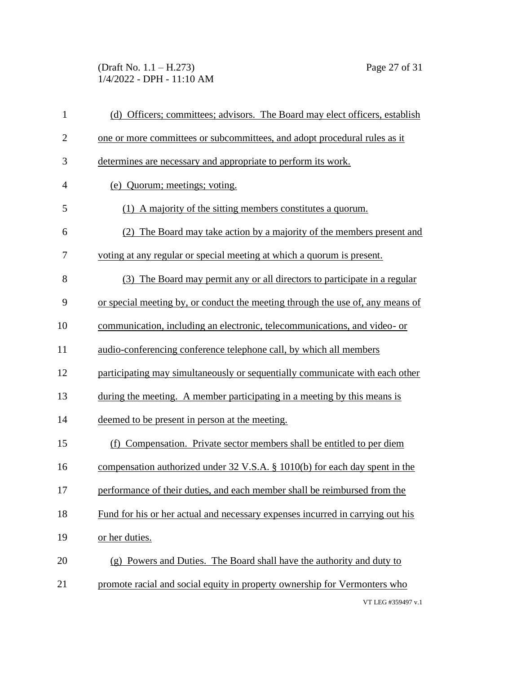(Draft No. 1.1 – H.273) Page 27 of 31 1/4/2022 - DPH - 11:10 AM

| $\mathbf{1}$   | (d) Officers; committees; advisors. The Board may elect officers, establish    |  |  |
|----------------|--------------------------------------------------------------------------------|--|--|
| $\mathbf{2}$   | one or more committees or subcommittees, and adopt procedural rules as it      |  |  |
| 3              | determines are necessary and appropriate to perform its work.                  |  |  |
| $\overline{4}$ | (e) Quorum; meetings; voting.                                                  |  |  |
| 5              | (1) A majority of the sitting members constitutes a quorum.                    |  |  |
| 6              | (2) The Board may take action by a majority of the members present and         |  |  |
| 7              | voting at any regular or special meeting at which a quorum is present.         |  |  |
| 8              | (3) The Board may permit any or all directors to participate in a regular      |  |  |
| 9              | or special meeting by, or conduct the meeting through the use of, any means of |  |  |
| 10             | communication, including an electronic, telecommunications, and video- or      |  |  |
| 11             | audio-conferencing conference telephone call, by which all members             |  |  |
| 12             | participating may simultaneously or sequentially communicate with each other   |  |  |
| 13             | during the meeting. A member participating in a meeting by this means is       |  |  |
| 14             | deemed to be present in person at the meeting.                                 |  |  |
| 15             | (f) Compensation. Private sector members shall be entitled to per diem         |  |  |
| 16             | compensation authorized under 32 V.S.A. § 1010(b) for each day spent in the    |  |  |
| 17             | performance of their duties, and each member shall be reimbursed from the      |  |  |
| 18             | Fund for his or her actual and necessary expenses incurred in carrying out his |  |  |
| 19             | or her duties.                                                                 |  |  |
| 20             | (g) Powers and Duties. The Board shall have the authority and duty to          |  |  |
| 21             | promote racial and social equity in property ownership for Vermonters who      |  |  |
|                | VT LEG #359497 v.1                                                             |  |  |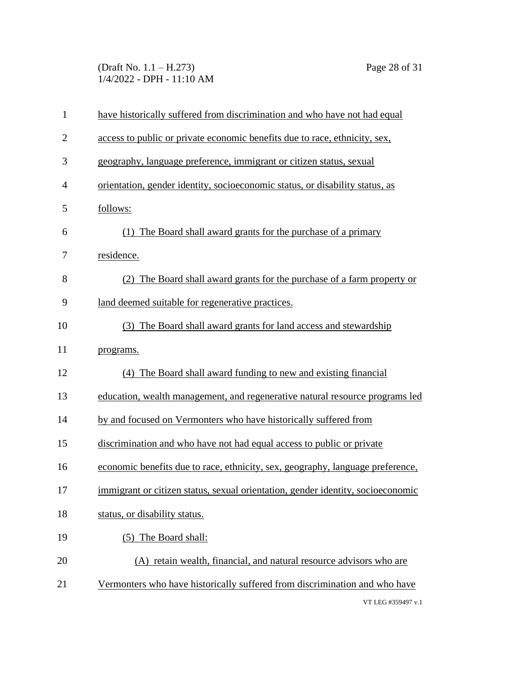(Draft No. 1.1 – H.273) Page 28 of 31 1/4/2022 - DPH - 11:10 AM

| $\mathbf{1}$ | have historically suffered from discrimination and who have not had equal       |  |  |  |
|--------------|---------------------------------------------------------------------------------|--|--|--|
| $\mathbf{2}$ | access to public or private economic benefits due to race, ethnicity, sex,      |  |  |  |
| 3            | geography, language preference, immigrant or citizen status, sexual             |  |  |  |
| 4            | orientation, gender identity, socioeconomic status, or disability status, as    |  |  |  |
| 5            | follows:                                                                        |  |  |  |
| 6            | The Board shall award grants for the purchase of a primary<br>(1)               |  |  |  |
| 7            | residence.                                                                      |  |  |  |
| 8            | (2) The Board shall award grants for the purchase of a farm property or         |  |  |  |
| 9            | land deemed suitable for regenerative practices.                                |  |  |  |
| 10           | The Board shall award grants for land access and stewardship<br>(3)             |  |  |  |
| 11           | programs.                                                                       |  |  |  |
| 12           | (4) The Board shall award funding to new and existing financial                 |  |  |  |
| 13           | education, wealth management, and regenerative natural resource programs led    |  |  |  |
| 14           | by and focused on Vermonters who have historically suffered from                |  |  |  |
| 15           | discrimination and who have not had equal access to public or private           |  |  |  |
| 16           | economic benefits due to race, ethnicity, sex, geography, language preference,  |  |  |  |
| 17           | immigrant or citizen status, sexual orientation, gender identity, socioeconomic |  |  |  |
| 18           | status, or disability status.                                                   |  |  |  |
| 19           | The Board shall:<br>(5)                                                         |  |  |  |
| 20           | (A) retain wealth, financial, and natural resource advisors who are             |  |  |  |
| 21           | Vermonters who have historically suffered from discrimination and who have      |  |  |  |
|              | VT LEG #359497 v.1                                                              |  |  |  |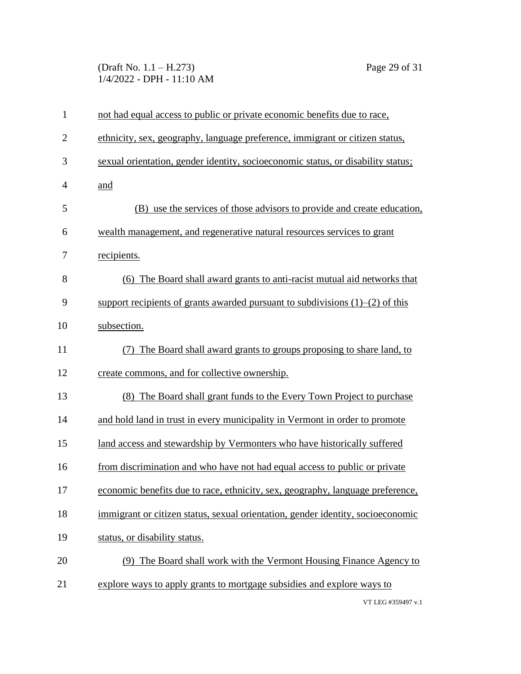(Draft No. 1.1 – H.273) Page 29 of 31 1/4/2022 - DPH - 11:10 AM

| $\mathbf{1}$   | not had equal access to public or private economic benefits due to race,            |  |  |  |
|----------------|-------------------------------------------------------------------------------------|--|--|--|
| $\overline{2}$ | ethnicity, sex, geography, language preference, immigrant or citizen status,        |  |  |  |
| 3              | sexual orientation, gender identity, socioeconomic status, or disability status;    |  |  |  |
| $\overline{4}$ | and                                                                                 |  |  |  |
| 5              | (B) use the services of those advisors to provide and create education,             |  |  |  |
| 6              | wealth management, and regenerative natural resources services to grant             |  |  |  |
| 7              | recipients.                                                                         |  |  |  |
| 8              | (6) The Board shall award grants to anti-racist mutual aid networks that            |  |  |  |
| 9              | support recipients of grants awarded pursuant to subdivisions $(1)$ – $(2)$ of this |  |  |  |
| 10             | subsection.                                                                         |  |  |  |
| 11             | The Board shall award grants to groups proposing to share land, to                  |  |  |  |
| 12             | create commons, and for collective ownership.                                       |  |  |  |
| 13             | (8) The Board shall grant funds to the Every Town Project to purchase               |  |  |  |
| 14             | and hold land in trust in every municipality in Vermont in order to promote         |  |  |  |
| 15             | land access and stewardship by Vermonters who have historically suffered            |  |  |  |
| 16             | from discrimination and who have not had equal access to public or private          |  |  |  |
| 17             | economic benefits due to race, ethnicity, sex, geography, language preference,      |  |  |  |
| 18             | immigrant or citizen status, sexual orientation, gender identity, socioeconomic     |  |  |  |
| 19             | status, or disability status.                                                       |  |  |  |
| 20             | (9) The Board shall work with the Vermont Housing Finance Agency to                 |  |  |  |
| 21             | explore ways to apply grants to mortgage subsidies and explore ways to              |  |  |  |
|                | VT LEG #359497 v.1                                                                  |  |  |  |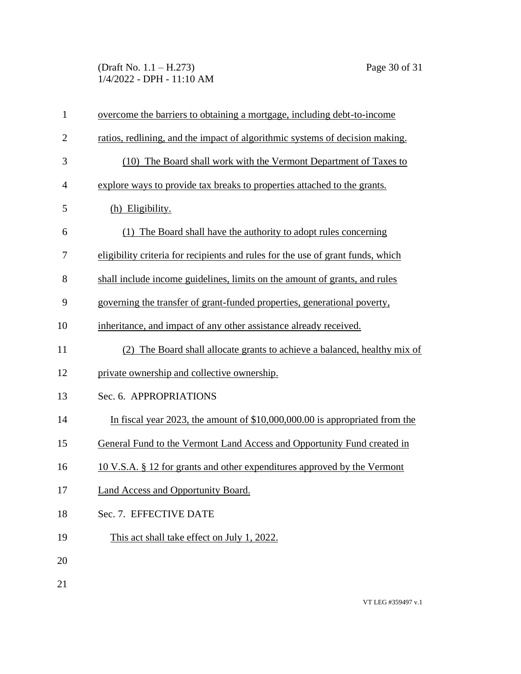(Draft No. 1.1 – H.273) Page 30 of 31 1/4/2022 - DPH - 11:10 AM

| $\mathbf{1}$   | overcome the barriers to obtaining a mortgage, including debt-to-income         |
|----------------|---------------------------------------------------------------------------------|
| $\mathbf{2}$   | ratios, redlining, and the impact of algorithmic systems of decision making.    |
| 3              | (10) The Board shall work with the Vermont Department of Taxes to               |
| $\overline{4}$ | explore ways to provide tax breaks to properties attached to the grants.        |
| 5              | (h) Eligibility.                                                                |
| 6              | The Board shall have the authority to adopt rules concerning<br>(1)             |
| 7              | eligibility criteria for recipients and rules for the use of grant funds, which |
| 8              | shall include income guidelines, limits on the amount of grants, and rules      |
| 9              | governing the transfer of grant-funded properties, generational poverty,        |
| 10             | inheritance, and impact of any other assistance already received.               |
| 11             | The Board shall allocate grants to achieve a balanced, healthy mix of<br>(2)    |
| 12             | private ownership and collective ownership.                                     |
| 13             | Sec. 6. APPROPRIATIONS                                                          |
| 14             | In fiscal year 2023, the amount of $$10,000,000.00$ is appropriated from the    |
| 15             | General Fund to the Vermont Land Access and Opportunity Fund created in         |
| 16             | 10 V.S.A. § 12 for grants and other expenditures approved by the Vermont        |
| 17             | Land Access and Opportunity Board.                                              |
| 18             | Sec. 7. EFFECTIVE DATE                                                          |
| 19             | This act shall take effect on July 1, 2022.                                     |
| 20             |                                                                                 |
|                |                                                                                 |

21